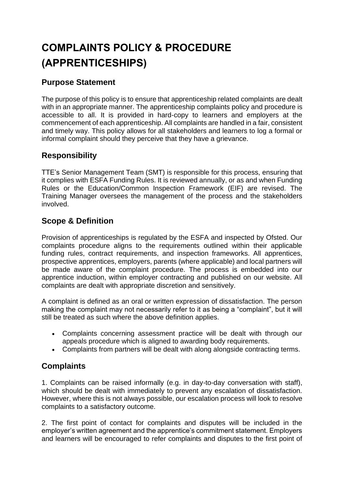# **COMPLAINTS POLICY & PROCEDURE (APPRENTICESHIPS) PROCEDUREAPPRENTICESHIPS)**

# **Purpose Statement**

The purpose of this policy is to ensure that apprenticeship related complaints are dealt with in an appropriate manner. The apprenticeship complaints policy and procedure is accessible to all. It is provided in hard-copy to learners and employers at the commencement of each apprenticeship. All complaints are handled in a fair, consistent and timely way. This policy allows for all stakeholders and learners to log a formal or informal complaint should they perceive that they have a grievance.

# **Responsibility**

TTE's Senior Management Team (SMT) is responsible for this process, ensuring that it complies with ESFA Funding Rules. It is reviewed annually, or as and when Funding Rules or the Education/Common Inspection Framework (EIF) are revised. The Training Manager oversees the management of the process and the stakeholders involved.

# **Scope & Definition**

Provision of apprenticeships is regulated by the ESFA and inspected by Ofsted. Our complaints procedure aligns to the requirements outlined within their applicable funding rules, contract requirements, and inspection frameworks. All apprentices, prospective apprentices, employers, parents (where applicable) and local partners will be made aware of the complaint procedure. The process is embedded into our apprentice induction, within employer contracting and published on our website. All complaints are dealt with appropriate discretion and sensitively.

A complaint is defined as an oral or written expression of dissatisfaction. The person making the complaint may not necessarily refer to it as being a "complaint", but it will still be treated as such where the above definition applies.

- Complaints concerning assessment practice will be dealt with through our appeals procedure which is aligned to awarding body requirements.
- Complaints from partners will be dealt with along alongside contracting terms.

### **Complaints**

1. Complaints can be raised informally (e.g. in day-to-day conversation with staff), which should be dealt with immediately to prevent any escalation of dissatisfaction. However, where this is not always possible, our escalation process will look to resolve complaints to a satisfactory outcome.

2. The first point of contact for complaints and disputes will be included in the employer's written agreement and the apprentice's commitment statement. Employers and learners will be encouraged to refer complaints and disputes to the first point of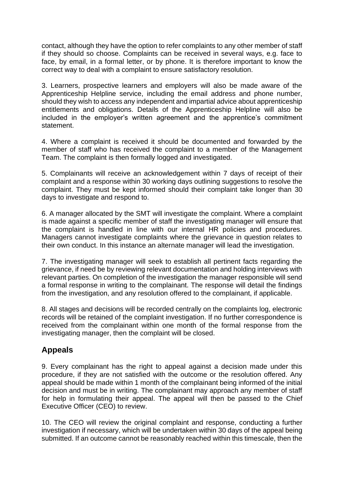contact, although they have the option to refer complaints to any other member of staff if they should so choose. Complaints can be received in several ways, e.g. face to face, by email, in a formal letter, or by phone. It is therefore important to know the correct way to deal with a complaint to ensure satisfactory resolution.

3. Learners, prospective learners and employers will also be made aware of the Apprenticeship Helpline service, including the email address and phone number, should they wish to access any independent and impartial advice about apprenticeship entitlements and obligations. Details of the Apprenticeship Helpline will also be included in the employer's written agreement and the apprentice's commitment statement.

4. Where a complaint is received it should be documented and forwarded by the member of staff who has received the complaint to a member of the Management Team. The complaint is then formally logged and investigated.

5. Complainants will receive an acknowledgement within 7 days of receipt of their complaint and a response within 30 working days outlining suggestions to resolve the complaint. They must be kept informed should their complaint take longer than 30 days to investigate and respond to.

6. A manager allocated by the SMT will investigate the complaint. Where a complaint is made against a specific member of staff the investigating manager will ensure that the complaint is handled in line with our internal HR policies and procedures. Managers cannot investigate complaints where the grievance in question relates to their own conduct. In this instance an alternate manager will lead the investigation.

7. The investigating manager will seek to establish all pertinent facts regarding the grievance, if need be by reviewing relevant documentation and holding interviews with relevant parties. On completion of the investigation the manager responsible will send a formal response in writing to the complainant. The response will detail the findings from the investigation, and any resolution offered to the complainant, if applicable.

8. All stages and decisions will be recorded centrally on the complaints log, electronic records will be retained of the complaint investigation. If no further correspondence is received from the complainant within one month of the formal response from the investigating manager, then the complaint will be closed.

### **Appeals**

9. Every complainant has the right to appeal against a decision made under this procedure, if they are not satisfied with the outcome or the resolution offered. Any appeal should be made within 1 month of the complainant being informed of the initial decision and must be in writing. The complainant may approach any member of staff for help in formulating their appeal. The appeal will then be passed to the Chief Executive Officer (CEO) to review.

10. The CEO will review the original complaint and response, conducting a further investigation if necessary, which will be undertaken within 30 days of the appeal being submitted. If an outcome cannot be reasonably reached within this timescale, then the